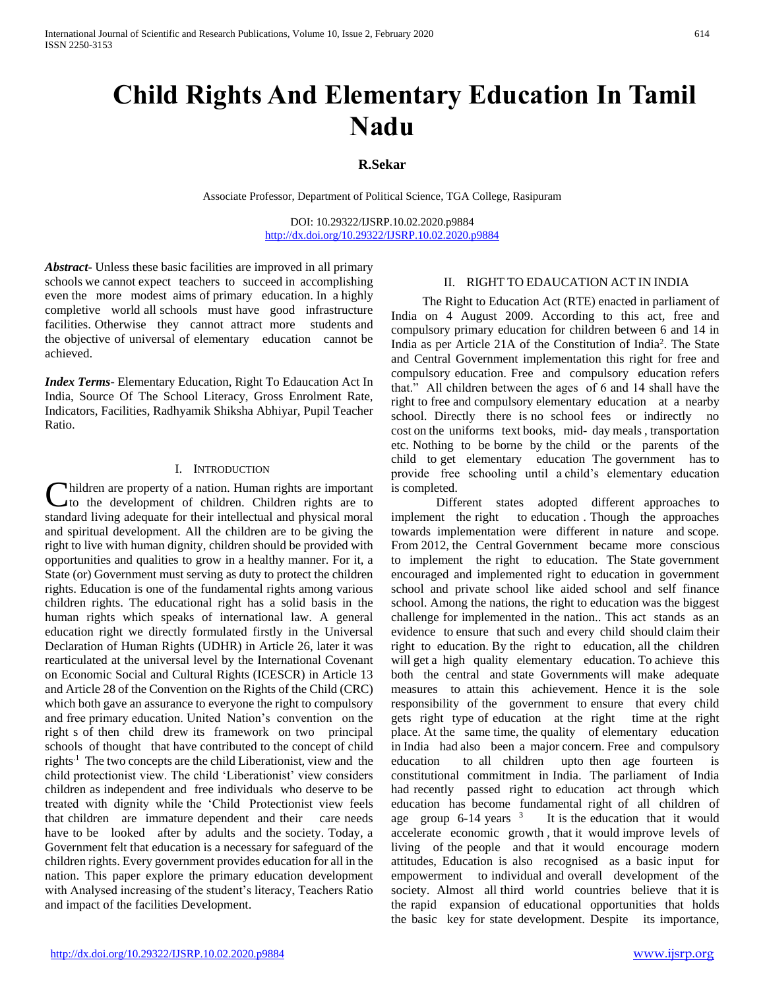# **Child Rights And Elementary Education In Tamil Nadu**

## **R.Sekar**

Associate Professor, Department of Political Science, TGA College, Rasipuram

DOI: 10.29322/IJSRP.10.02.2020.p9884 <http://dx.doi.org/10.29322/IJSRP.10.02.2020.p9884>

*Abstract***-** Unless these basic facilities are improved in all primary schools we cannot expect teachers to succeed in accomplishing even the more modest aims of primary education. In a highly completive world all schools must have good infrastructure facilities. Otherwise they cannot attract more students and the objective of universal of elementary education cannot be achieved.

*Index Terms*- Elementary Education, Right To Edaucation Act In India, Source Of The School Literacy, Gross Enrolment Rate, Indicators, Facilities, Radhyamik Shiksha Abhiyar, Pupil Teacher Ratio.

#### I. INTRODUCTION

hildren are property of a nation. Human rights are important Children are property of a nation. Human rights are important<br>to the development of children. Children rights are to standard living adequate for their intellectual and physical moral and spiritual development. All the children are to be giving the right to live with human dignity, children should be provided with opportunities and qualities to grow in a healthy manner. For it, a State (or) Government must serving as duty to protect the children rights. Education is one of the fundamental rights among various children rights. The educational right has a solid basis in the human rights which speaks of international law. A general education right we directly formulated firstly in the Universal Declaration of Human Rights (UDHR) in Article 26, later it was rearticulated at the universal level by the International Covenant on Economic Social and Cultural Rights (ICESCR) in Article 13 and Article 28 of the Convention on the Rights of the Child (CRC) which both gave an assurance to everyone the right to compulsory and free primary education. United Nation's convention on the right s of then child drew its framework on two principal schools of thought that have contributed to the concept of child rights.1 The two concepts are the child Liberationist, view and the child protectionist view. The child 'Liberationist' view considers children as independent and free individuals who deserve to be treated with dignity while the 'Child Protectionist view feels that children are immature dependent and their care needs have to be looked after by adults and the society. Today, a Government felt that education is a necessary for safeguard of the children rights. Every government provides education for all in the nation. This paper explore the primary education development with Analysed increasing of the student's literacy, Teachers Ratio and impact of the facilities Development.

#### II. RIGHT TO EDAUCATION ACT IN INDIA

 The Right to Education Act (RTE) enacted in parliament of India on 4 August 2009. According to this act, free and compulsory primary education for children between 6 and 14 in India as per Article 21A of the Constitution of India<sup>2</sup>. The State and Central Government implementation this right for free and compulsory education. Free and compulsory education refers that." All children between the ages of 6 and 14 shall have the right to free and compulsory elementary education at a nearby school. Directly there is no school fees or indirectly no cost on the uniforms text books, mid- day meals , transportation etc. Nothing to be borne by the child or the parents of the child to get elementary education The government has to provide free schooling until a child's elementary education is completed.

Different states adopted different approaches to implement the right to education. Though the approaches towards implementation were different in nature and scope. From 2012, the Central Government became more conscious to implement the right to education. The State government encouraged and implemented right to education in government school and private school like aided school and self finance school. Among the nations, the right to education was the biggest challenge for implemented in the nation.. This act stands as an evidence to ensure that such and every child should claim their right to education. By the right to education, all the children will get a high quality elementary education. To achieve this both the central and state Governments will make adequate measures to attain this achievement. Hence it is the sole responsibility of the government to ensure that every child gets right type of education at the right time at the right place. At the same time, the quality of elementary education in India had also been a major concern. Free and compulsory education to all children upto then age fourteen is constitutional commitment in India. The parliament of India had recently passed right to education act through which education has become fundamental right of all children of age group  $6-14$  years  $3$  It is the education that it would accelerate economic growth , that it would improve levels of living of the people and that it would encourage modern attitudes, Education is also recognised as a basic input for empowerment to individual and overall development of the society. Almost all third world countries believe that it is the rapid expansion of educational opportunities that holds the basic key for state development. Despite its importance,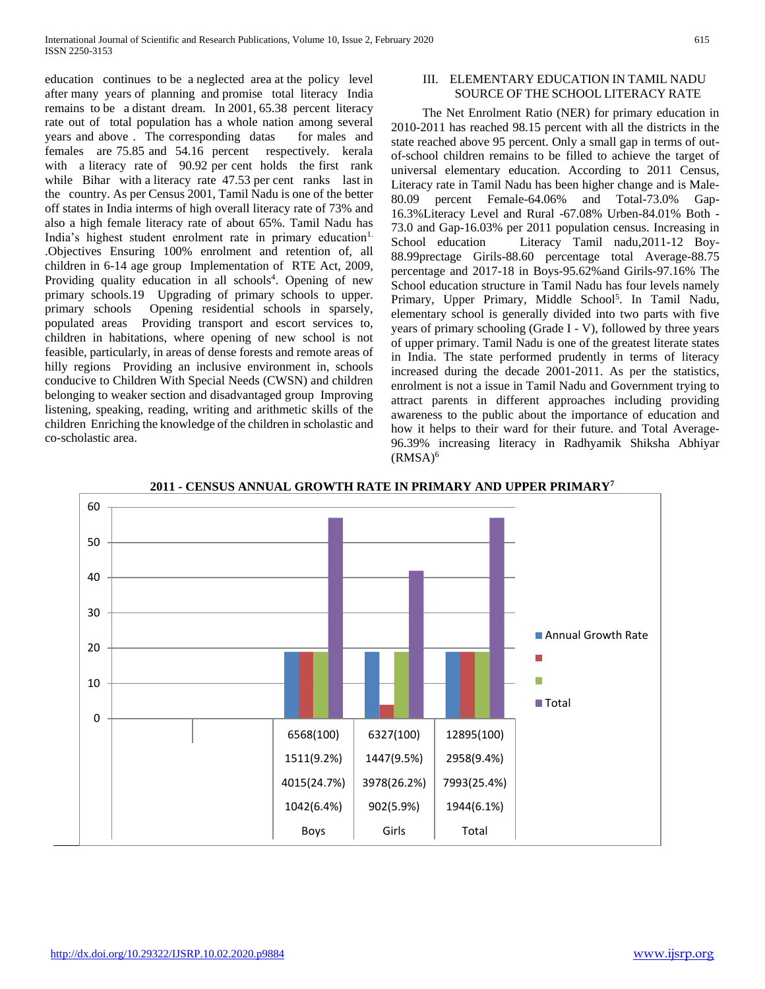education continues to be a neglected area at the policy level after many years of planning and promise total literacy India remains to be a distant dream. In 2001, 65.38 percent literacy rate out of total population has a whole nation among several years and above . The corresponding datas for males and females are 75.85 and 54.16 percent respectively. kerala with a literacy rate of 90.92 per cent holds the first rank while Bihar with a literacy rate 47.53 per cent ranks last in the country. As per Census 2001, Tamil Nadu is one of the better off states in India interms of high overall literacy rate of 73% and also a high female literacy rate of about 65%. Tamil Nadu has India's highest student enrolment rate in primary education<sup>1.</sup> .Objectives Ensuring 100% enrolment and retention of, all children in 6-14 age group Implementation of RTE Act, 2009, Providing quality education in all schools<sup>4</sup>. Opening of new primary schools.19 Upgrading of primary schools to upper. primary schools Opening residential schools in sparsely, populated areas Providing transport and escort services to, children in habitations, where opening of new school is not feasible, particularly, in areas of dense forests and remote areas of hilly regions Providing an inclusive environment in, schools conducive to Children With Special Needs (CWSN) and children belonging to weaker section and disadvantaged group Improving listening, speaking, reading, writing and arithmetic skills of the children Enriching the knowledge of the children in scholastic and co-scholastic area.

#### III. ELEMENTARY EDUCATION IN TAMIL NADU SOURCE OF THE SCHOOL LITERACY RATE

 The Net Enrolment Ratio (NER) for primary education in 2010-2011 has reached 98.15 percent with all the districts in the state reached above 95 percent. Only a small gap in terms of outof-school children remains to be filled to achieve the target of universal elementary education. According to 2011 Census, Literacy rate in Tamil Nadu has been higher change and is Male-80.09 percent Female-64.06% and Total-73.0% Gap-16.3%Literacy Level and Rural -67.08% Urben-84.01% Both - 73.0 and Gap-16.03% per 2011 population census. Increasing in School education Literacy Tamil nadu,2011-12 Boy-88.99prectage Girils-88.60 percentage total Average-88.75 percentage and 2017-18 in Boys-95.62%and Girils-97.16% The School education structure in Tamil Nadu has four levels namely Primary, Upper Primary, Middle School<sup>5</sup>. In Tamil Nadu, elementary school is generally divided into two parts with five years of primary schooling (Grade I - V), followed by three years of upper primary. Tamil Nadu is one of the greatest literate states in India. The state performed prudently in terms of literacy increased during the decade 2001-2011. As per the statistics, enrolment is not a issue in Tamil Nadu and Government trying to attract parents in different approaches including providing awareness to the public about the importance of education and how it helps to their ward for their future. and Total Average-96.39% increasing literacy in Radhyamik Shiksha Abhiyar  $(RMSA)^6$ 



**2011 - CENSUS ANNUAL GROWTH RATE IN PRIMARY AND UPPER PRIMARY<sup>7</sup>**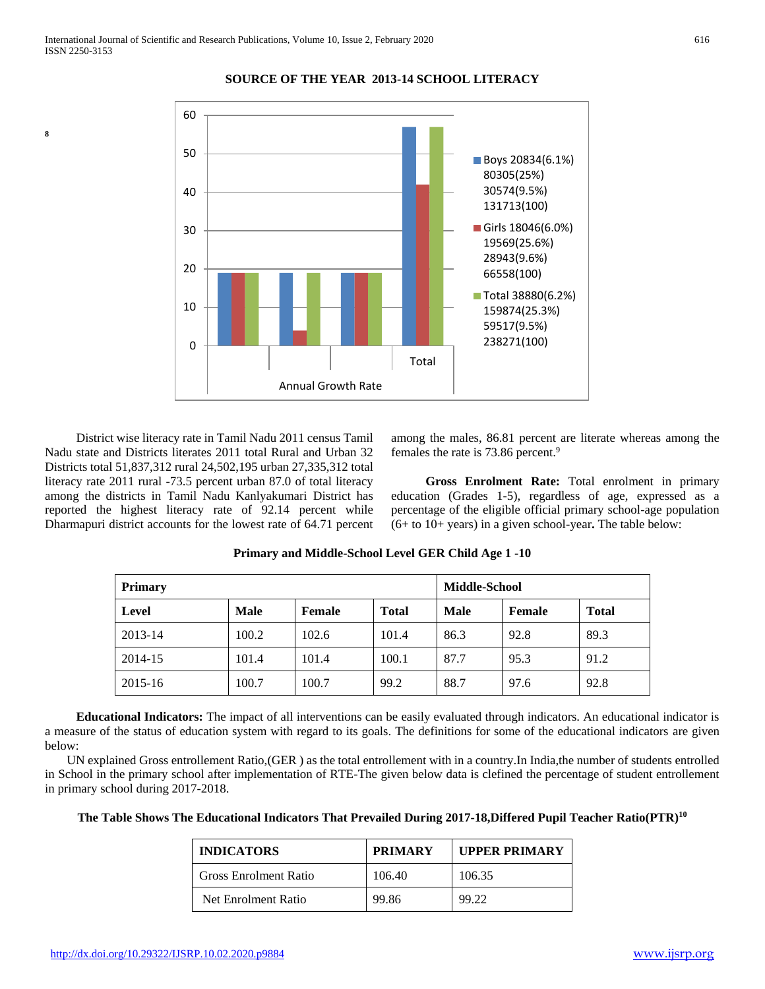**8**



#### **SOURCE OF THE YEAR 2013-14 SCHOOL LITERACY**

 District wise literacy rate in Tamil Nadu 2011 census Tamil Nadu state and Districts literates 2011 total Rural and Urban 32 Districts total 51,837,312 rural 24,502,195 urban 27,335,312 total literacy rate 2011 rural -73.5 percent urban 87.0 of total literacy among the districts in Tamil Nadu Kanlyakumari District has reported the highest literacy rate of 92.14 percent while Dharmapuri district accounts for the lowest rate of 64.71 percent

among the males, 86.81 percent are literate whereas among the females the rate is 73.86 percent.<sup>9</sup>

 **Gross Enrolment Rate:** Total enrolment in primary education (Grades 1-5), regardless of age, expressed as a percentage of the eligible official primary school-age population (6+ to 10+ years) in a given school-year**.** The table below:

| <b>Primary</b> |             |        | <b>Middle-School</b> |             |        |              |
|----------------|-------------|--------|----------------------|-------------|--------|--------------|
| <b>Level</b>   | <b>Male</b> | Female | <b>Total</b>         | <b>Male</b> | Female | <b>Total</b> |
| 2013-14        | 100.2       | 102.6  | 101.4                | 86.3        | 92.8   | 89.3         |
| 2014-15        | 101.4       | 101.4  | 100.1                | 87.7        | 95.3   | 91.2         |
| 2015-16        | 100.7       | 100.7  | 99.2                 | 88.7        | 97.6   | 92.8         |

**Primary and Middle-School Level GER Child Age 1 -10**

 **Educational Indicators:** The impact of all interventions can be easily evaluated through indicators. An educational indicator is a measure of the status of education system with regard to its goals. The definitions for some of the educational indicators are given below:

 UN explained Gross entrollement Ratio,(GER ) as the total entrollement with in a country.In India,the number of students entrolled in School in the primary school after implementation of RTE-The given below data is clefined the percentage of student entrollement in primary school during 2017-2018.

**The Table Shows The Educational Indicators That Prevailed During 2017-18,Differed Pupil Teacher Ratio(PTR)<sup>10</sup>**

| <b>INDICATORS</b>            | <b>PRIMARY</b> | <b>UPPER PRIMARY</b> |
|------------------------------|----------------|----------------------|
| <b>Gross Enrolment Ratio</b> | 106.40         | 106.35               |
| Net Enrolment Ratio          | 99.86          | 99.22                |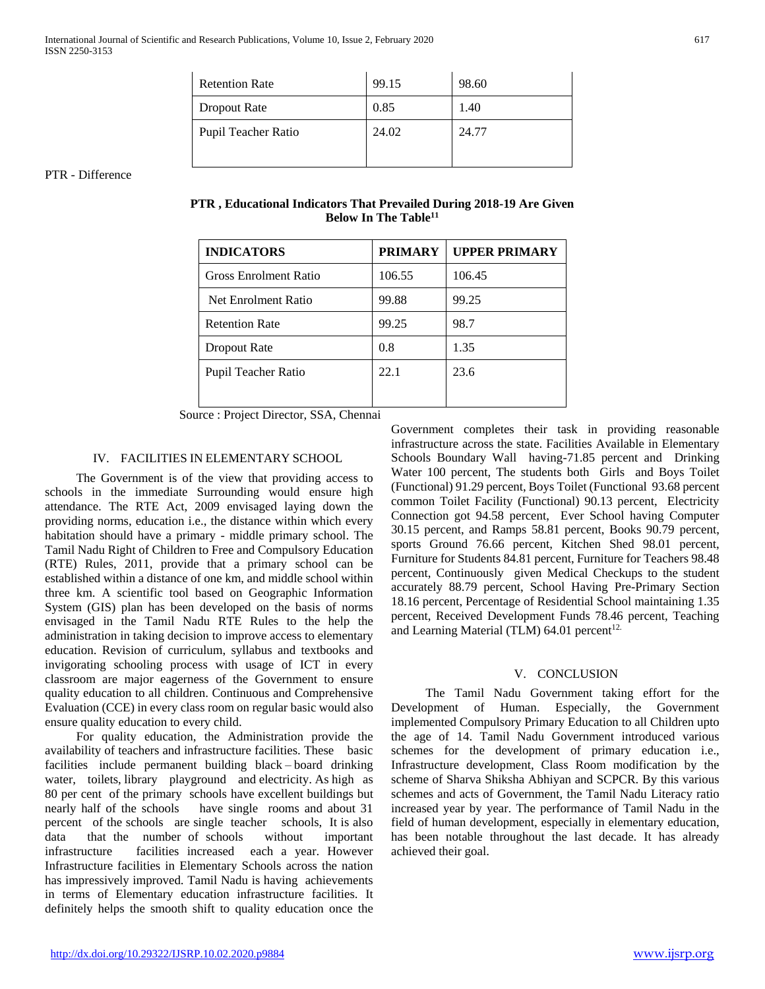| <b>Retention Rate</b> | 99.15 | 98.60 |
|-----------------------|-------|-------|
| Dropout Rate          | 0.85  | 1.40  |
| Pupil Teacher Ratio   | 24.02 | 24.77 |

PTR - Difference

| PTR, Educational Indicators That Prevailed During 2018-19 Are Given |  |  |
|---------------------------------------------------------------------|--|--|
| Below In The Table <sup>11</sup>                                    |  |  |

| <b>INDICATORS</b>            | <b>PRIMARY</b> | <b>UPPER PRIMARY</b> |
|------------------------------|----------------|----------------------|
| <b>Gross Enrolment Ratio</b> | 106.55         | 106.45               |
| Net Enrolment Ratio          | 99.88          | 99.25                |
| <b>Retention Rate</b>        | 99.25          | 98.7                 |
| Dropout Rate                 | 0.8            | 1.35                 |
| Pupil Teacher Ratio          | 22.1           | 23.6                 |
|                              |                |                      |

Source : Project Director, SSA, Chennai

### IV. FACILITIES IN ELEMENTARY SCHOOL

 The Government is of the view that providing access to schools in the immediate Surrounding would ensure high attendance. The RTE Act, 2009 envisaged laying down the providing norms, education i.e., the distance within which every habitation should have a primary - middle primary school. The Tamil Nadu Right of Children to Free and Compulsory Education (RTE) Rules, 2011, provide that a primary school can be established within a distance of one km, and middle school within three km. A scientific tool based on Geographic Information System (GIS) plan has been developed on the basis of norms envisaged in the Tamil Nadu RTE Rules to the help the administration in taking decision to improve access to elementary education. Revision of curriculum, syllabus and textbooks and invigorating schooling process with usage of ICT in every classroom are major eagerness of the Government to ensure quality education to all children. Continuous and Comprehensive Evaluation (CCE) in every class room on regular basic would also ensure quality education to every child.

 For quality education, the Administration provide the availability of teachers and infrastructure facilities. These basic facilities include permanent building black – board drinking water, toilets, library playground and electricity. As high as 80 per cent of the primary schools have excellent buildings but nearly half of the schools have single rooms and about 31 percent of the schools are single teacher schools, It is also data that the number of schools without important infrastructure facilities increased each a year. However Infrastructure facilities in Elementary Schools across the nation has impressively improved. Tamil Nadu is having achievements in terms of Elementary education infrastructure facilities. It definitely helps the smooth shift to quality education once the Government completes their task in providing reasonable infrastructure across the state. Facilities Available in Elementary Schools Boundary Wall having-71.85 percent and Drinking Water 100 percent, The students both Girls and Boys Toilet (Functional) 91.29 percent, Boys Toilet (Functional 93.68 percent common Toilet Facility (Functional) 90.13 percent, Electricity Connection got 94.58 percent, Ever School having Computer 30.15 percent, and Ramps 58.81 percent, Books 90.79 percent, sports Ground 76.66 percent, Kitchen Shed 98.01 percent, Furniture for Students 84.81 percent, Furniture for Teachers 98.48 percent, Continuously given Medical Checkups to the student accurately 88.79 percent, School Having Pre-Primary Section 18.16 percent, Percentage of Residential School maintaining 1.35 percent, Received Development Funds 78.46 percent, Teaching and Learning Material (TLM)  $64.01$  percent<sup>12.</sup>

#### V. CONCLUSION

 The Tamil Nadu Government taking effort for the Development of Human. Especially, the Government implemented Compulsory Primary Education to all Children upto the age of 14. Tamil Nadu Government introduced various schemes for the development of primary education i.e., Infrastructure development, Class Room modification by the scheme of Sharva Shiksha Abhiyan and SCPCR. By this various schemes and acts of Government, the Tamil Nadu Literacy ratio increased year by year. The performance of Tamil Nadu in the field of human development, especially in elementary education, has been notable throughout the last decade. It has already achieved their goal.